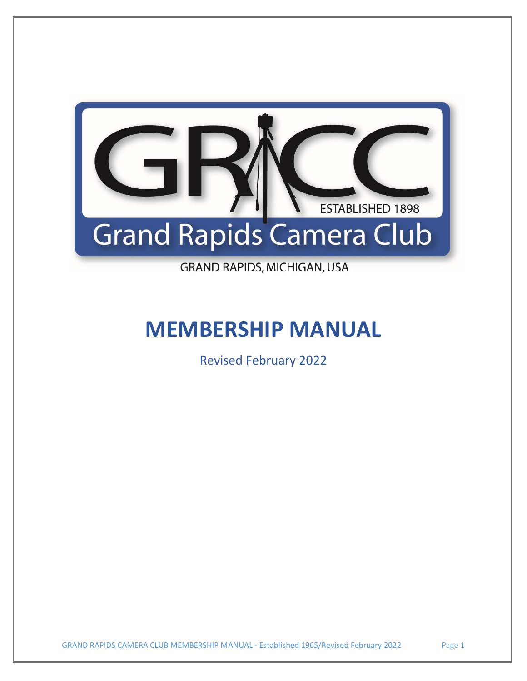

**GRAND RAPIDS, MICHIGAN, USA** 

# **MEMBERSHIP MANUAL**

Revised February 2022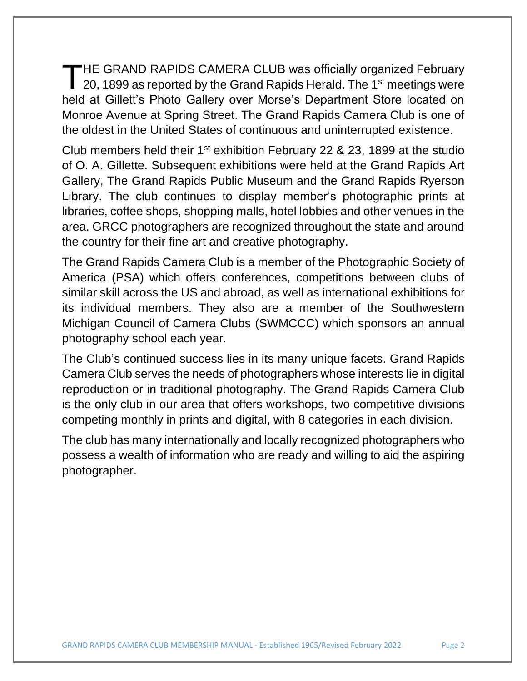HE GRAND RAPIDS CAMERA CLUB was officially organized February THE GRAND RAPIDS CAMERA CLUB was officially organized February<br>20, 1899 as reported by the Grand Rapids Herald. The 1<sup>st</sup> meetings were held at Gillett's Photo Gallery over Morse's Department Store located on Monroe Avenue at Spring Street. The Grand Rapids Camera Club is one of the oldest in the United States of continuous and uninterrupted existence.

Club members held their  $1<sup>st</sup>$  exhibition February 22 & 23, 1899 at the studio of O. A. Gillette. Subsequent exhibitions were held at the Grand Rapids Art Gallery, The Grand Rapids Public Museum and the Grand Rapids Ryerson Library. The club continues to display member's photographic prints at libraries, coffee shops, shopping malls, hotel lobbies and other venues in the area. GRCC photographers are recognized throughout the state and around the country for their fine art and creative photography.

The Grand Rapids Camera Club is a member of the Photographic Society of America (PSA) which offers conferences, competitions between clubs of similar skill across the US and abroad, as well as international exhibitions for its individual members. They also are a member of the Southwestern Michigan Council of Camera Clubs (SWMCCC) which sponsors an annual photography school each year.

The Club's continued success lies in its many unique facets. Grand Rapids Camera Club serves the needs of photographers whose interests lie in digital reproduction or in traditional photography. The Grand Rapids Camera Club is the only club in our area that offers workshops, two competitive divisions competing monthly in prints and digital, with 8 categories in each division.

The club has many internationally and locally recognized photographers who possess a wealth of information who are ready and willing to aid the aspiring photographer.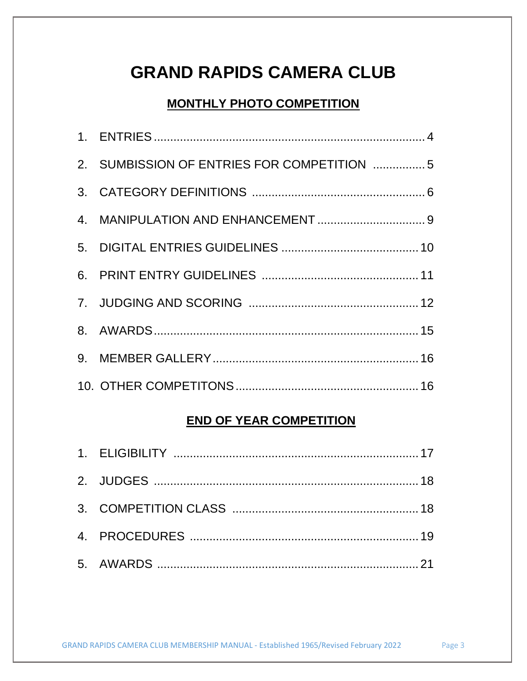# **GRAND RAPIDS CAMERA CLUB**

# **MONTHLY PHOTO COMPETITION**

| 2. SUMBISSION OF ENTRIES FOR COMPETITION 5 |  |
|--------------------------------------------|--|
|                                            |  |
|                                            |  |
|                                            |  |
|                                            |  |
|                                            |  |
|                                            |  |
|                                            |  |
|                                            |  |

# **END OF YEAR COMPETITION**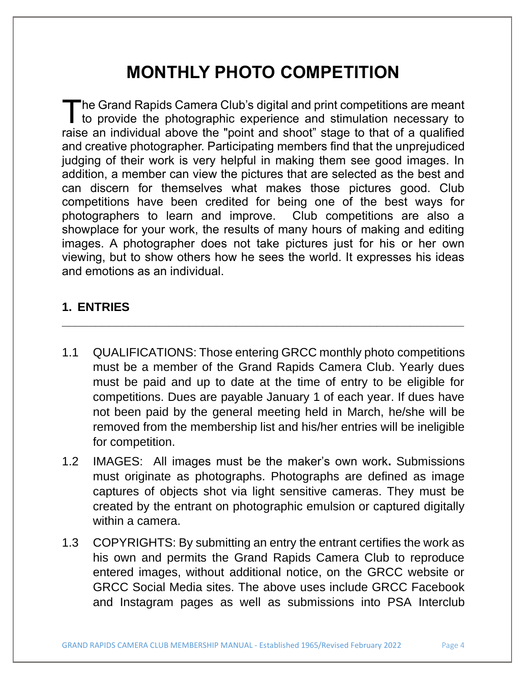# **MONTHLY PHOTO COMPETITION**

he Grand Rapids Camera Club's digital and print competitions are meant The Grand Rapids Camera Club's digital and print competitions are meant<br>to provide the photographic experience and stimulation necessary to raise an individual above the "point and shoot" stage to that of a qualified and creative photographer. Participating members find that the unprejudiced judging of their work is very helpful in making them see good images. In addition, a member can view the pictures that are selected as the best and can discern for themselves what makes those pictures good. Club competitions have been credited for being one of the best ways for photographers to learn and improve. Club competitions are also a showplace for your work, the results of many hours of making and editing images. A photographer does not take pictures just for his or her own viewing, but to show others how he sees the world. It expresses his ideas and emotions as an individual.

# **1. ENTRIES**

1.1 QUALIFICATIONS: Those entering GRCC monthly photo competitions must be a member of the Grand Rapids Camera Club. Yearly dues must be paid and up to date at the time of entry to be eligible for competitions. Dues are payable January 1 of each year. If dues have not been paid by the general meeting held in March, he/she will be removed from the membership list and his/her entries will be ineligible for competition.

- 1.2 IMAGES: All images must be the maker's own work**.** Submissions must originate as photographs. Photographs are defined as image captures of objects shot via light sensitive cameras. They must be created by the entrant on photographic emulsion or captured digitally within a camera.
- 1.3 COPYRIGHTS: By submitting an entry the entrant certifies the work as his own and permits the Grand Rapids Camera Club to reproduce entered images, without additional notice, on the GRCC website or GRCC Social Media sites. The above uses include GRCC Facebook and Instagram pages as well as submissions into PSA Interclub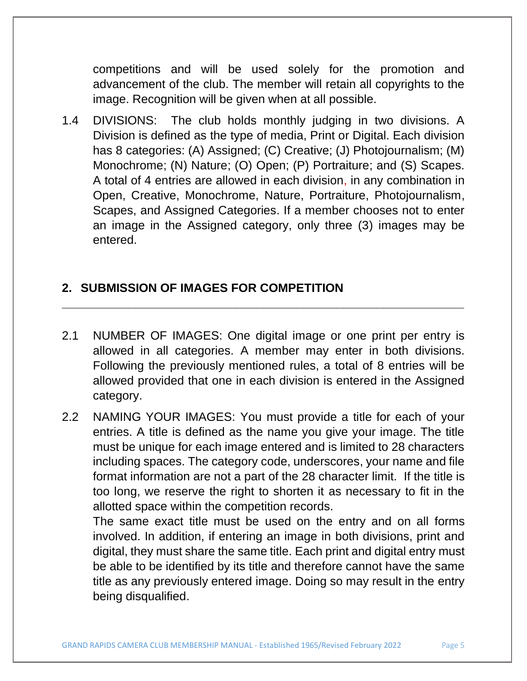competitions and will be used solely for the promotion and advancement of the club. The member will retain all copyrights to the image. Recognition will be given when at all possible.

1.4 DIVISIONS: The club holds monthly judging in two divisions. A Division is defined as the type of media, Print or Digital. Each division has 8 categories: (A) Assigned; (C) Creative; (J) Photojournalism; (M) Monochrome; (N) Nature; (O) Open; (P) Portraiture; and (S) Scapes. A total of 4 entries are allowed in each division, in any combination in Open, Creative, Monochrome, Nature, Portraiture, Photojournalism, Scapes, and Assigned Categories. If a member chooses not to enter an image in the Assigned category, only three (3) images may be entered.

### **2. SUBMISSION OF IMAGES FOR COMPETITION**

2.1 NUMBER OF IMAGES: One digital image or one print per entry is allowed in all categories. A member may enter in both divisions. Following the previously mentioned rules, a total of 8 entries will be allowed provided that one in each division is entered in the Assigned category.

**\_\_\_\_\_\_\_\_\_\_\_\_\_\_\_\_\_\_\_\_\_\_\_\_\_\_\_\_\_\_\_\_\_\_\_\_\_\_\_\_\_\_\_\_\_\_\_\_\_\_\_\_\_\_\_\_\_\_\_\_**

2.2 NAMING YOUR IMAGES: You must provide a title for each of your entries. A title is defined as the name you give your image. The title must be unique for each image entered and is limited to 28 characters including spaces. The category code, underscores, your name and file format information are not a part of the 28 character limit. If the title is too long, we reserve the right to shorten it as necessary to fit in the allotted space within the competition records.

The same exact title must be used on the entry and on all forms involved. In addition, if entering an image in both divisions, print and digital, they must share the same title. Each print and digital entry must be able to be identified by its title and therefore cannot have the same title as any previously entered image. Doing so may result in the entry being disqualified.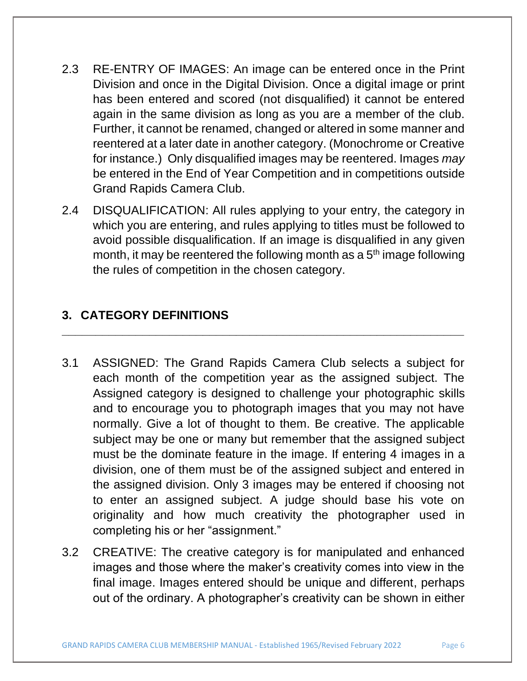- 2.3 RE-ENTRY OF IMAGES: An image can be entered once in the Print Division and once in the Digital Division. Once a digital image or print has been entered and scored (not disqualified) it cannot be entered again in the same division as long as you are a member of the club. Further, it cannot be renamed, changed or altered in some manner and reentered at a later date in another category. (Monochrome or Creative for instance.) Only disqualified images may be reentered. Images *may*  be entered in the End of Year Competition and in competitions outside Grand Rapids Camera Club.
- 2.4 DISQUALIFICATION: All rules applying to your entry, the category in which you are entering, and rules applying to titles must be followed to avoid possible disqualification. If an image is disqualified in any given month, it may be reentered the following month as a  $5<sup>th</sup>$  image following the rules of competition in the chosen category.

**\_\_\_\_\_\_\_\_\_\_\_\_\_\_\_\_\_\_\_\_\_\_\_\_\_\_\_\_\_\_\_\_\_\_\_\_\_\_\_\_\_\_\_\_\_\_\_\_\_\_\_\_\_\_\_\_\_\_\_\_**

# **3. CATEGORY DEFINITIONS**

- 3.1 ASSIGNED: The Grand Rapids Camera Club selects a subject for each month of the competition year as the assigned subject. The Assigned category is designed to challenge your photographic skills and to encourage you to photograph images that you may not have normally. Give a lot of thought to them. Be creative. The applicable subject may be one or many but remember that the assigned subject must be the dominate feature in the image. If entering 4 images in a division, one of them must be of the assigned subject and entered in the assigned division. Only 3 images may be entered if choosing not to enter an assigned subject. A judge should base his vote on originality and how much creativity the photographer used in completing his or her "assignment."
- 3.2 CREATIVE: The creative category is for manipulated and enhanced images and those where the maker's creativity comes into view in the final image. Images entered should be unique and different, perhaps out of the ordinary. A photographer's creativity can be shown in either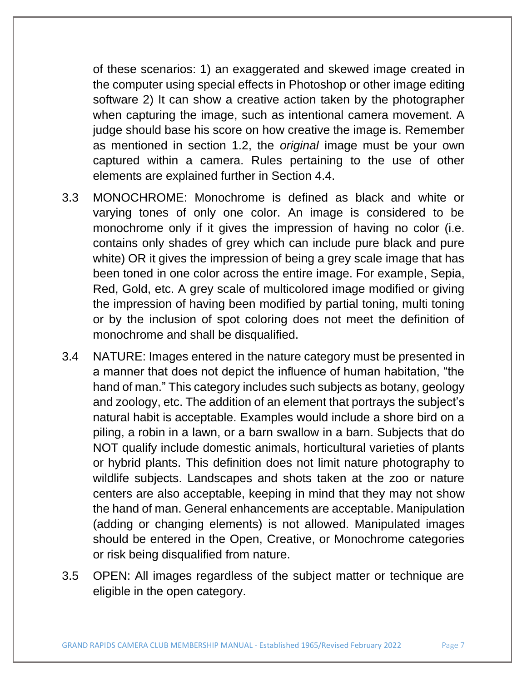of these scenarios: 1) an exaggerated and skewed image created in the computer using special effects in Photoshop or other image editing software 2) It can show a creative action taken by the photographer when capturing the image, such as intentional camera movement. A judge should base his score on how creative the image is. Remember as mentioned in section 1.2, the *original* image must be your own captured within a camera. Rules pertaining to the use of other elements are explained further in Section 4.4.

- 3.3 MONOCHROME: Monochrome is defined as black and white or varying tones of only one color. An image is considered to be monochrome only if it gives the impression of having no color (i.e. contains only shades of grey which can include pure black and pure white) OR it gives the impression of being a grey scale image that has been toned in one color across the entire image. For example, Sepia, Red, Gold, etc. A grey scale of multicolored image modified or giving the impression of having been modified by partial toning, multi toning or by the inclusion of spot coloring does not meet the definition of monochrome and shall be disqualified.
- 3.4 NATURE: Images entered in the nature category must be presented in a manner that does not depict the influence of human habitation, "the hand of man." This category includes such subjects as botany, geology and zoology, etc. The addition of an element that portrays the subject's natural habit is acceptable. Examples would include a shore bird on a piling, a robin in a lawn, or a barn swallow in a barn. Subjects that do NOT qualify include domestic animals, horticultural varieties of plants or hybrid plants. This definition does not limit nature photography to wildlife subjects. Landscapes and shots taken at the zoo or nature centers are also acceptable, keeping in mind that they may not show the hand of man. General enhancements are acceptable. Manipulation (adding or changing elements) is not allowed. Manipulated images should be entered in the Open, Creative, or Monochrome categories or risk being disqualified from nature.
- 3.5 OPEN: All images regardless of the subject matter or technique are eligible in the open category.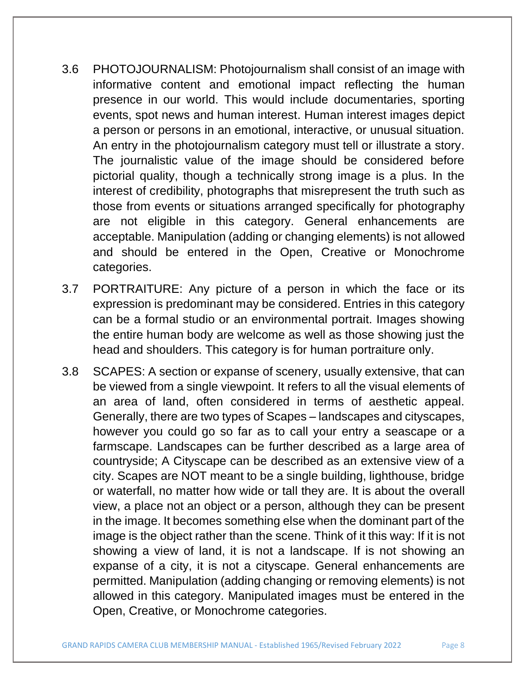- 3.6 PHOTOJOURNALISM: Photojournalism shall consist of an image with informative content and emotional impact reflecting the human presence in our world. This would include documentaries, sporting events, spot news and human interest. Human interest images depict a person or persons in an emotional, interactive, or unusual situation. An entry in the photojournalism category must tell or illustrate a story. The journalistic value of the image should be considered before pictorial quality, though a technically strong image is a plus. In the interest of credibility, photographs that misrepresent the truth such as those from events or situations arranged specifically for photography are not eligible in this category. General enhancements are acceptable. Manipulation (adding or changing elements) is not allowed and should be entered in the Open, Creative or Monochrome categories.
- 3.7 PORTRAITURE: Any picture of a person in which the face or its expression is predominant may be considered. Entries in this category can be a formal studio or an environmental portrait. Images showing the entire human body are welcome as well as those showing just the head and shoulders. This category is for human portraiture only.
- 3.8 SCAPES: A section or expanse of scenery, usually extensive, that can be viewed from a single viewpoint. It refers to all the visual elements of an area of land, often considered in terms of aesthetic appeal. Generally, there are two types of Scapes – landscapes and cityscapes, however you could go so far as to call your entry a seascape or a farmscape. Landscapes can be further described as a large area of countryside; A Cityscape can be described as an extensive view of a city. Scapes are NOT meant to be a single building, lighthouse, bridge or waterfall, no matter how wide or tall they are. It is about the overall view, a place not an object or a person, although they can be present in the image. It becomes something else when the dominant part of the image is the object rather than the scene. Think of it this way: If it is not showing a view of land, it is not a landscape. If is not showing an expanse of a city, it is not a cityscape. General enhancements are permitted. Manipulation (adding changing or removing elements) is not allowed in this category. Manipulated images must be entered in the Open, Creative, or Monochrome categories.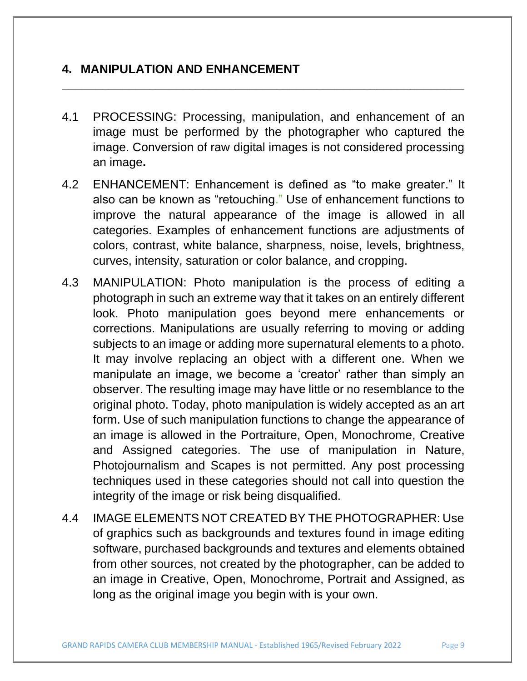### **4. MANIPULATION AND ENHANCEMENT**

4.1 PROCESSING: Processing, manipulation, and enhancement of an image must be performed by the photographer who captured the image. Conversion of raw digital images is not considered processing an image**.** 

- 4.2 ENHANCEMENT: Enhancement is defined as "to make greater." It also can be known as "retouching." Use of enhancement functions to improve the natural appearance of the image is allowed in all categories. Examples of enhancement functions are adjustments of colors, contrast, white balance, sharpness, noise, levels, brightness, curves, intensity, saturation or color balance, and cropping.
- 4.3 MANIPULATION: Photo manipulation is the process of editing a photograph in such an extreme way that it takes on an entirely different look. Photo manipulation goes beyond mere enhancements or corrections. Manipulations are usually referring to moving or adding subjects to an image or adding more supernatural elements to a photo. It may involve replacing an object with a different one. When we manipulate an image, we become a 'creator' rather than simply an observer. The resulting image may have little or no resemblance to the original photo. Today, photo manipulation is widely accepted as an art form. Use of such manipulation functions to change the appearance of an image is allowed in the Portraiture, Open, Monochrome, Creative and Assigned categories. The use of manipulation in Nature, Photojournalism and Scapes is not permitted. Any post processing techniques used in these categories should not call into question the integrity of the image or risk being disqualified.
- 4.4 IMAGE ELEMENTS NOT CREATED BY THE PHOTOGRAPHER: Use of graphics such as backgrounds and textures found in image editing software, purchased backgrounds and textures and elements obtained from other sources, not created by the photographer, can be added to an image in Creative, Open, Monochrome, Portrait and Assigned, as long as the original image you begin with is your own.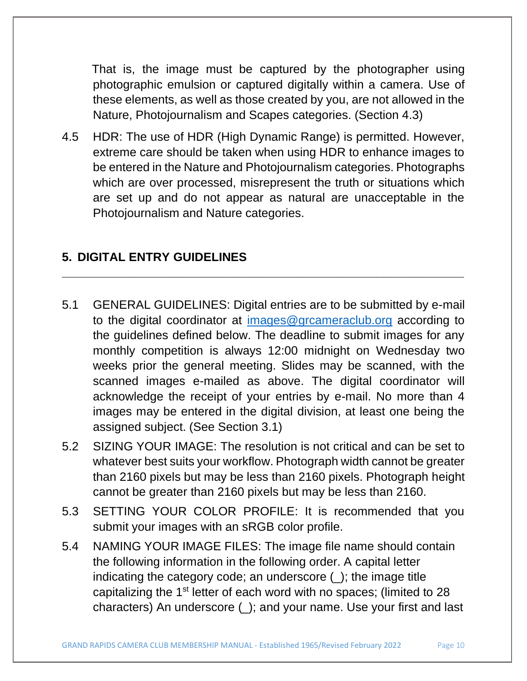That is, the image must be captured by the photographer using photographic emulsion or captured digitally within a camera. Use of these elements, as well as those created by you, are not allowed in the Nature, Photojournalism and Scapes categories. (Section 4.3)

4.5 HDR: The use of HDR (High Dynamic Range) is permitted. However, extreme care should be taken when using HDR to enhance images to be entered in the Nature and Photojournalism categories. Photographs which are over processed, misrepresent the truth or situations which are set up and do not appear as natural are unacceptable in the Photojournalism and Nature categories.

#### **5. DIGITAL ENTRY GUIDELINES**

5.1 GENERAL GUIDELINES: Digital entries are to be submitted by e-mail to the digital coordinator at [images@grcameraclub.org](mailto:images@grcameraclub.org) according to the guidelines defined below. The deadline to submit images for any monthly competition is always 12:00 midnight on Wednesday two weeks prior the general meeting. Slides may be scanned, with the scanned images e-mailed as above. The digital coordinator will acknowledge the receipt of your entries by e-mail. No more than 4 images may be entered in the digital division, at least one being the assigned subject. (See Section 3.1)

- 5.2 SIZING YOUR IMAGE: The resolution is not critical and can be set to whatever best suits your workflow. Photograph width cannot be greater than 2160 pixels but may be less than 2160 pixels. Photograph height cannot be greater than 2160 pixels but may be less than 2160.
- 5.3 SETTING YOUR COLOR PROFILE: It is recommended that you submit your images with an sRGB color profile.
- 5.4 NAMING YOUR IMAGE FILES: The image file name should contain the following information in the following order. A capital letter indicating the category code; an underscore (); the image title capitalizing the 1<sup>st</sup> letter of each word with no spaces; (limited to 28 characters) An underscore (\_); and your name. Use your first and last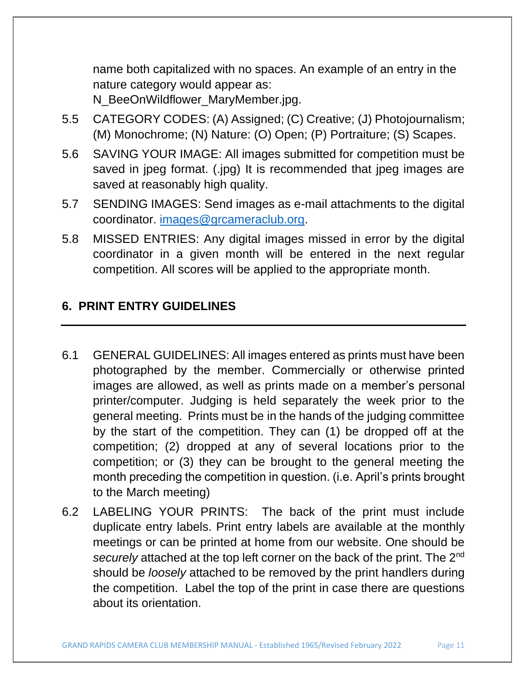name both capitalized with no spaces. An example of an entry in the nature category would appear as:

N\_BeeOnWildflower\_MaryMember.jpg.

- 5.5 CATEGORY CODES: (A) Assigned; (C) Creative; (J) Photojournalism; (M) Monochrome; (N) Nature: (O) Open; (P) Portraiture; (S) Scapes.
- 5.6 SAVING YOUR IMAGE: All images submitted for competition must be saved in jpeg format. (.jpg) It is recommended that jpeg images are saved at reasonably high quality.
- 5.7 SENDING IMAGES: Send images as e-mail attachments to the digital coordinator. [images@grcameraclub.org.](mailto:images@grcameraclub.org)
- 5.8 MISSED ENTRIES: Any digital images missed in error by the digital coordinator in a given month will be entered in the next regular competition. All scores will be applied to the appropriate month.

# **6. PRINT ENTRY GUIDELINES**

- 6.1 GENERAL GUIDELINES: All images entered as prints must have been photographed by the member. Commercially or otherwise printed images are allowed, as well as prints made on a member's personal printer/computer. Judging is held separately the week prior to the general meeting. Prints must be in the hands of the judging committee by the start of the competition. They can (1) be dropped off at the competition; (2) dropped at any of several locations prior to the competition; or (3) they can be brought to the general meeting the month preceding the competition in question. (i.e. April's prints brought to the March meeting)
- 6.2 LABELING YOUR PRINTS: The back of the print must include duplicate entry labels. Print entry labels are available at the monthly meetings or can be printed at home from our website. One should be *securely* attached at the top left corner on the back of the print. The 2nd should be *loosely* attached to be removed by the print handlers during the competition. Label the top of the print in case there are questions about its orientation.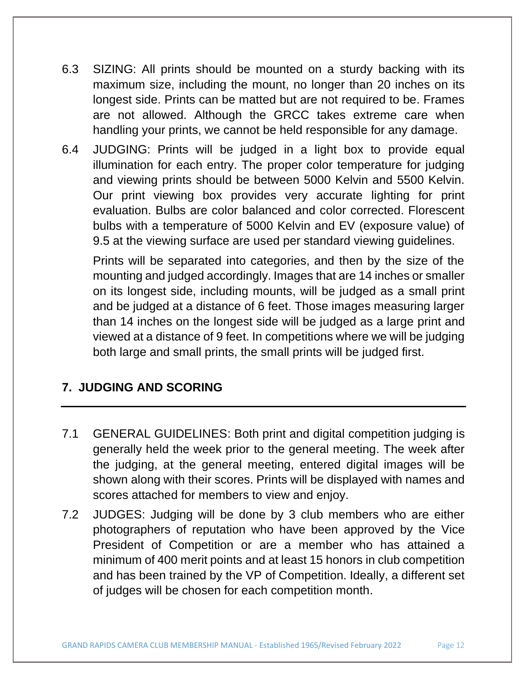- 6.3 SIZING: All prints should be mounted on a sturdy backing with its maximum size, including the mount, no longer than 20 inches on its longest side. Prints can be matted but are not required to be. Frames are not allowed. Although the GRCC takes extreme care when handling your prints, we cannot be held responsible for any damage.
- 6.4 JUDGING: Prints will be judged in a light box to provide equal illumination for each entry. The proper color temperature for judging and viewing prints should be between 5000 Kelvin and 5500 Kelvin. Our print viewing box provides very accurate lighting for print evaluation. Bulbs are color balanced and color corrected. Florescent bulbs with a temperature of 5000 Kelvin and EV (exposure value) of 9.5 at the viewing surface are used per standard viewing guidelines.

Prints will be separated into categories, and then by the size of the mounting and judged accordingly. Images that are 14 inches or smaller on its longest side, including mounts, will be judged as a small print and be judged at a distance of 6 feet. Those images measuring larger than 14 inches on the longest side will be judged as a large print and viewed at a distance of 9 feet. In competitions where we will be judging both large and small prints, the small prints will be judged first.

# **7. JUDGING AND SCORING**

- 7.1 GENERAL GUIDELINES: Both print and digital competition judging is generally held the week prior to the general meeting. The week after the judging, at the general meeting, entered digital images will be shown along with their scores. Prints will be displayed with names and scores attached for members to view and enjoy.
- 7.2 JUDGES: Judging will be done by 3 club members who are either photographers of reputation who have been approved by the Vice President of Competition or are a member who has attained a minimum of 400 merit points and at least 15 honors in club competition and has been trained by the VP of Competition. Ideally, a different set of judges will be chosen for each competition month.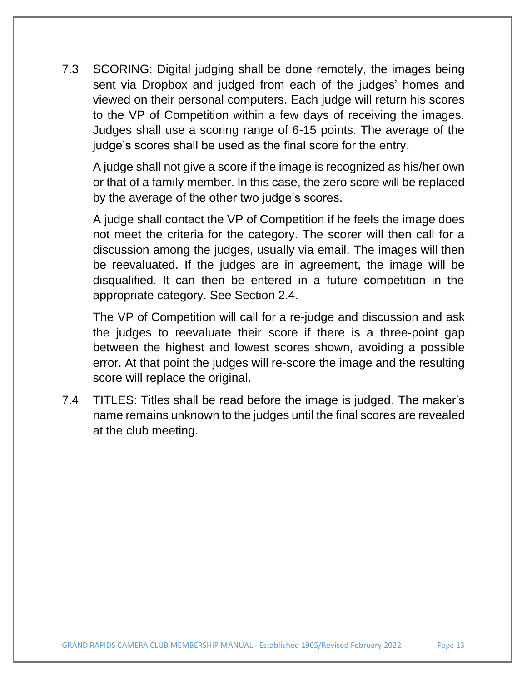7.3 SCORING: Digital judging shall be done remotely, the images being sent via Dropbox and judged from each of the judges' homes and viewed on their personal computers. Each judge will return his scores to the VP of Competition within a few days of receiving the images. Judges shall use a scoring range of 6-15 points. The average of the judge's scores shall be used as the final score for the entry.

A judge shall not give a score if the image is recognized as his/her own or that of a family member. In this case, the zero score will be replaced by the average of the other two judge's scores.

A judge shall contact the VP of Competition if he feels the image does not meet the criteria for the category. The scorer will then call for a discussion among the judges, usually via email. The images will then be reevaluated. If the judges are in agreement, the image will be disqualified. It can then be entered in a future competition in the appropriate category. See Section 2.4.

The VP of Competition will call for a re-judge and discussion and ask the judges to reevaluate their score if there is a three-point gap between the highest and lowest scores shown, avoiding a possible error. At that point the judges will re-score the image and the resulting score will replace the original.

7.4 TITLES: Titles shall be read before the image is judged. The maker's name remains unknown to the judges until the final scores are revealed at the club meeting.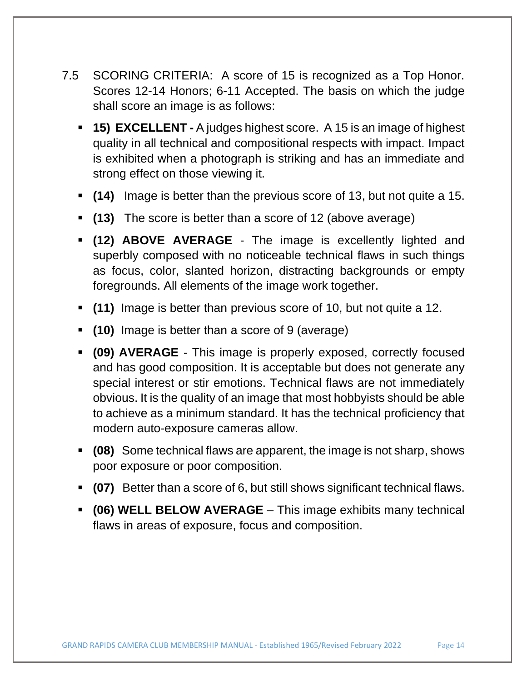- 7.5 SCORING CRITERIA: A score of 15 is recognized as a Top Honor. Scores 12-14 Honors; 6-11 Accepted. The basis on which the judge shall score an image is as follows:
	- **15) EXCELLENT -** A judges highest score. A 15 is an image of highest quality in all technical and compositional respects with impact. Impact is exhibited when a photograph is striking and has an immediate and strong effect on those viewing it.
	- **(14)** Image is better than the previous score of 13, but not quite a 15.
	- **(13)** The score is better than a score of 12 (above average)
	- **(12) ABOVE AVERAGE** The image is excellently lighted and superbly composed with no noticeable technical flaws in such things as focus, color, slanted horizon, distracting backgrounds or empty foregrounds. All elements of the image work together.
	- **(11)** Image is better than previous score of 10, but not quite a 12.
	- **(10)** Image is better than a score of 9 (average)
	- **(09) AVERAGE** This image is properly exposed, correctly focused and has good composition. It is acceptable but does not generate any special interest or stir emotions. Technical flaws are not immediately obvious. It is the quality of an image that most hobbyists should be able to achieve as a minimum standard. It has the technical proficiency that modern auto-exposure cameras allow.
	- **(08)** Some technical flaws are apparent, the image is not sharp, shows poor exposure or poor composition.
	- **(07)** Better than a score of 6, but still shows significant technical flaws.
	- **(06) WELL BELOW AVERAGE** This image exhibits many technical flaws in areas of exposure, focus and composition.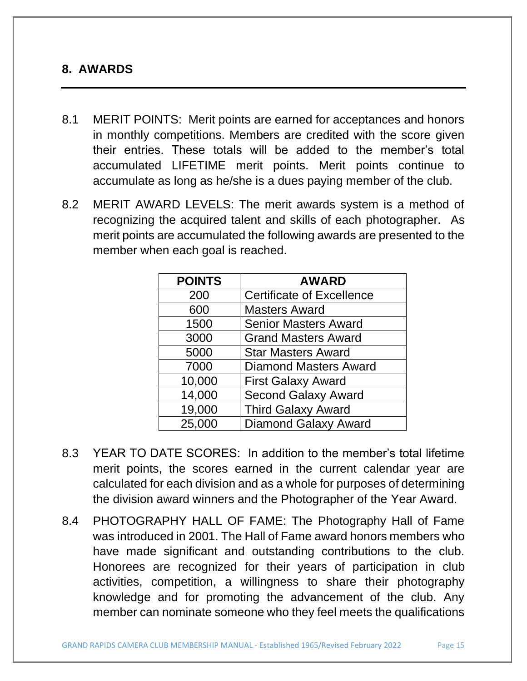#### **8. AWARDS**

- 8.1 MERIT POINTS: Merit points are earned for acceptances and honors in monthly competitions. Members are credited with the score given their entries. These totals will be added to the member's total accumulated LIFETIME merit points. Merit points continue to accumulate as long as he/she is a dues paying member of the club.
- 8.2 MERIT AWARD LEVELS: The merit awards system is a method of recognizing the acquired talent and skills of each photographer. As merit points are accumulated the following awards are presented to the member when each goal is reached.

| <b>POINTS</b> | <b>AWARD</b>                     |
|---------------|----------------------------------|
| 200           | <b>Certificate of Excellence</b> |
| 600           | <b>Masters Award</b>             |
| 1500          | <b>Senior Masters Award</b>      |
| 3000          | <b>Grand Masters Award</b>       |
| 5000          | <b>Star Masters Award</b>        |
| 7000          | <b>Diamond Masters Award</b>     |
| 10,000        | <b>First Galaxy Award</b>        |
| 14,000        | <b>Second Galaxy Award</b>       |
| 19,000        | <b>Third Galaxy Award</b>        |
| 25,000        | <b>Diamond Galaxy Award</b>      |

- 8.3 YEAR TO DATE SCORES: In addition to the member's total lifetime merit points, the scores earned in the current calendar year are calculated for each division and as a whole for purposes of determining the division award winners and the Photographer of the Year Award.
- 8.4 PHOTOGRAPHY HALL OF FAME: The Photography Hall of Fame was introduced in 2001. The Hall of Fame award honors members who have made significant and outstanding contributions to the club. Honorees are recognized for their years of participation in club activities, competition, a willingness to share their photography knowledge and for promoting the advancement of the club. Any member can nominate someone who they feel meets the qualifications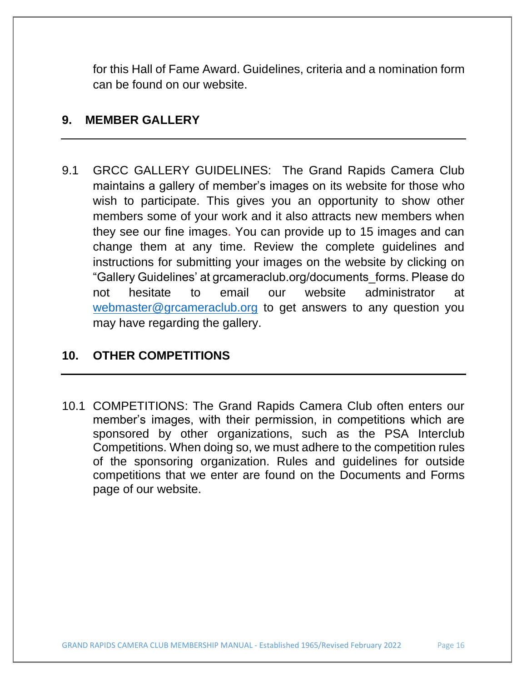for this Hall of Fame Award. Guidelines, criteria and a nomination form can be found on our website.

#### **9. MEMBER GALLERY**

9.1 GRCC GALLERY GUIDELINES: The Grand Rapids Camera Club maintains a gallery of member's images on its website for those who wish to participate. This gives you an opportunity to show other members some of your work and it also attracts new members when they see our fine images. You can provide up to 15 images and can change them at any time. Review the complete guidelines and instructions for submitting your images on the website by clicking on "Gallery Guidelines' at grcameraclub.org/documents\_forms. Please do not hesitate to email our website administrator at [webmaster@grcameraclub.org](mailto:webmaster@grcameraclub.org) to get answers to any question you may have regarding the gallery.

#### **10. OTHER COMPETITIONS**

10.1 COMPETITIONS: The Grand Rapids Camera Club often enters our member's images, with their permission, in competitions which are sponsored by other organizations, such as the PSA Interclub Competitions. When doing so, we must adhere to the competition rules of the sponsoring organization. Rules and guidelines for outside competitions that we enter are found on the Documents and Forms page of our website.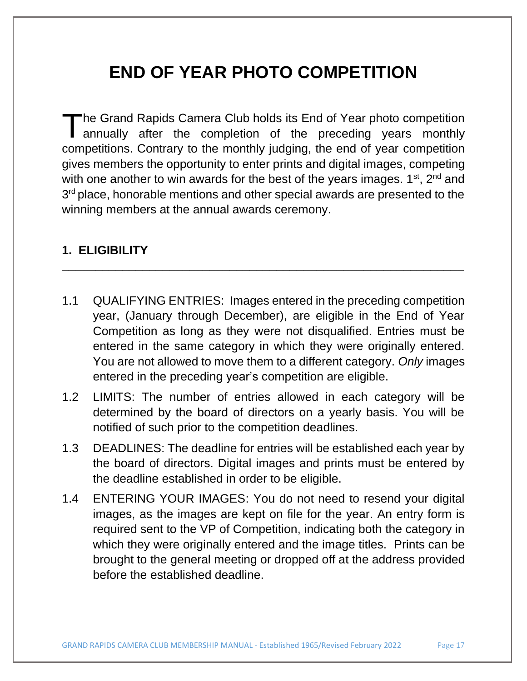# **END OF YEAR PHOTO COMPETITION**

he Grand Rapids Camera Club holds its End of Year photo competition annually after the completion of the preceding years monthly competitions. Contrary to the monthly judging, the end of year competition gives members the opportunity to enter prints and digital images, competing with one another to win awards for the best of the years images.  $1<sup>st</sup>$ ,  $2<sup>nd</sup>$  and 3<sup>rd</sup> place, honorable mentions and other special awards are presented to the winning members at the annual awards ceremony. T

### **1. ELIGIBILITY**

1.1 QUALIFYING ENTRIES: Images entered in the preceding competition year, (January through December), are eligible in the End of Year Competition as long as they were not disqualified. Entries must be entered in the same category in which they were originally entered. You are not allowed to move them to a different category. *Only* images entered in the preceding year's competition are eligible.

- 1.2 LIMITS: The number of entries allowed in each category will be determined by the board of directors on a yearly basis. You will be notified of such prior to the competition deadlines.
- 1.3 DEADLINES: The deadline for entries will be established each year by the board of directors. Digital images and prints must be entered by the deadline established in order to be eligible.
- 1.4 ENTERING YOUR IMAGES: You do not need to resend your digital images, as the images are kept on file for the year. An entry form is required sent to the VP of Competition, indicating both the category in which they were originally entered and the image titles. Prints can be brought to the general meeting or dropped off at the address provided before the established deadline.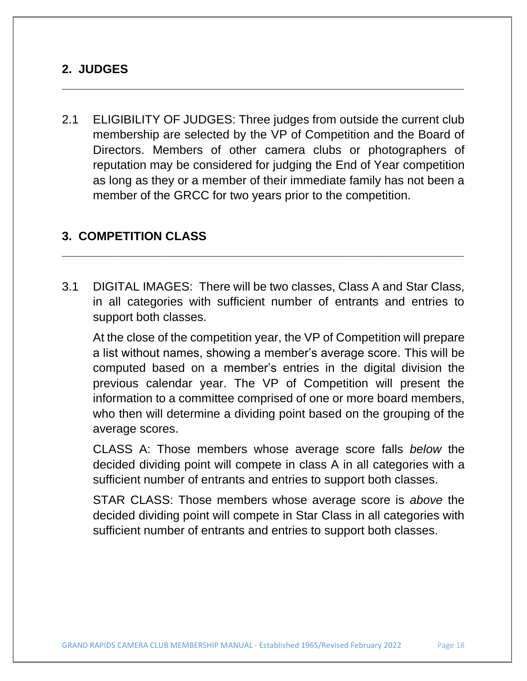#### **2. JUDGES**

2.1 ELIGIBILITY OF JUDGES: Three judges from outside the current club membership are selected by the VP of Competition and the Board of Directors. Members of other camera clubs or photographers of reputation may be considered for judging the End of Year competition as long as they or a member of their immediate family has not been a member of the GRCC for two years prior to the competition.

**\_\_\_\_\_\_\_\_\_\_\_\_\_\_\_\_\_\_\_\_\_\_\_\_\_\_\_\_\_\_\_\_\_\_\_\_\_\_\_\_\_\_\_\_\_\_\_\_\_\_\_\_\_\_\_\_\_\_\_\_**

#### **3. COMPETITION CLASS**

3.1 DIGITAL IMAGES: There will be two classes, Class A and Star Class, in all categories with sufficient number of entrants and entries to support both classes.

**\_\_\_\_\_\_\_\_\_\_\_\_\_\_\_\_\_\_\_\_\_\_\_\_\_\_\_\_\_\_\_\_\_\_\_\_\_\_\_\_\_\_\_\_\_\_\_\_\_\_\_\_\_\_\_\_\_\_\_\_**

At the close of the competition year, the VP of Competition will prepare a list without names, showing a member's average score. This will be computed based on a member's entries in the digital division the previous calendar year. The VP of Competition will present the information to a committee comprised of one or more board members, who then will determine a dividing point based on the grouping of the average scores.

CLASS A: Those members whose average score falls *below* the decided dividing point will compete in class A in all categories with a sufficient number of entrants and entries to support both classes.

STAR CLASS: Those members whose average score is *above* the decided dividing point will compete in Star Class in all categories with sufficient number of entrants and entries to support both classes.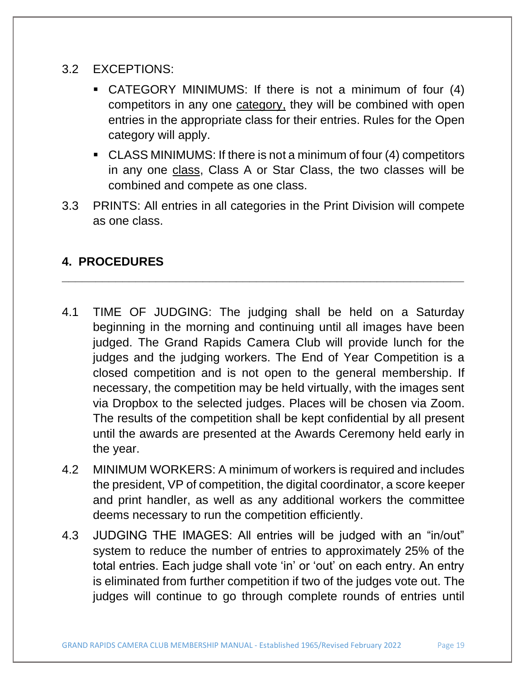- 3.2 EXCEPTIONS:
	- CATEGORY MINIMUMS: If there is not a minimum of four (4) competitors in any one category, they will be combined with open entries in the appropriate class for their entries. Rules for the Open category will apply.
	- CLASS MINIMUMS: If there is not a minimum of four (4) competitors in any one class, Class A or Star Class, the two classes will be combined and compete as one class.
- 3.3 PRINTS: All entries in all categories in the Print Division will compete as one class.

**\_\_\_\_\_\_\_\_\_\_\_\_\_\_\_\_\_\_\_\_\_\_\_\_\_\_\_\_\_\_\_\_\_\_\_\_\_\_\_\_\_\_\_\_\_\_\_\_\_\_\_\_\_\_\_\_\_\_\_\_**

# **4. PROCEDURES**

- 4.1 TIME OF JUDGING: The judging shall be held on a Saturday beginning in the morning and continuing until all images have been judged. The Grand Rapids Camera Club will provide lunch for the judges and the judging workers. The End of Year Competition is a closed competition and is not open to the general membership. If necessary, the competition may be held virtually, with the images sent via Dropbox to the selected judges. Places will be chosen via Zoom. The results of the competition shall be kept confidential by all present until the awards are presented at the Awards Ceremony held early in the year.
- 4.2 MINIMUM WORKERS: A minimum of workers is required and includes the president, VP of competition, the digital coordinator, a score keeper and print handler, as well as any additional workers the committee deems necessary to run the competition efficiently.
- 4.3 JUDGING THE IMAGES: All entries will be judged with an "in/out" system to reduce the number of entries to approximately 25% of the total entries. Each judge shall vote 'in' or 'out' on each entry. An entry is eliminated from further competition if two of the judges vote out. The judges will continue to go through complete rounds of entries until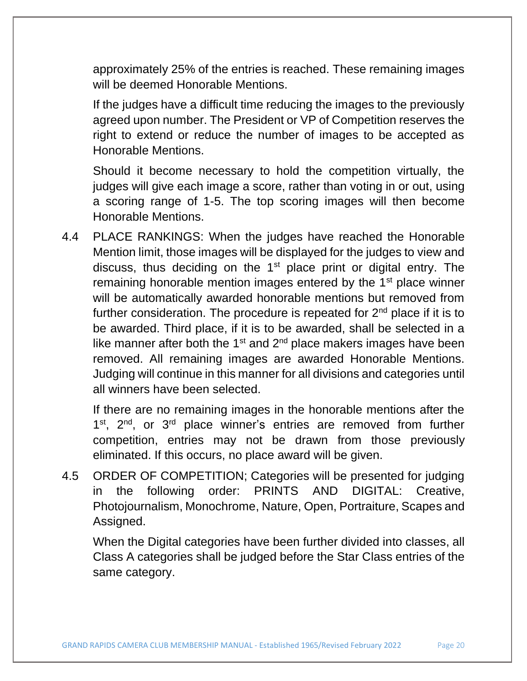approximately 25% of the entries is reached. These remaining images will be deemed Honorable Mentions.

If the judges have a difficult time reducing the images to the previously agreed upon number. The President or VP of Competition reserves the right to extend or reduce the number of images to be accepted as Honorable Mentions.

Should it become necessary to hold the competition virtually, the judges will give each image a score, rather than voting in or out, using a scoring range of 1-5. The top scoring images will then become Honorable Mentions.

4.4 PLACE RANKINGS: When the judges have reached the Honorable Mention limit, those images will be displayed for the judges to view and discuss, thus deciding on the  $1<sup>st</sup>$  place print or digital entry. The remaining honorable mention images entered by the 1<sup>st</sup> place winner will be automatically awarded honorable mentions but removed from further consideration. The procedure is repeated for  $2<sup>nd</sup>$  place if it is to be awarded. Third place, if it is to be awarded, shall be selected in a like manner after both the 1<sup>st</sup> and  $2<sup>nd</sup>$  place makers images have been removed. All remaining images are awarded Honorable Mentions. Judging will continue in this manner for all divisions and categories until all winners have been selected.

If there are no remaining images in the honorable mentions after the 1<sup>st</sup>, 2<sup>nd</sup>, or 3<sup>rd</sup> place winner's entries are removed from further competition, entries may not be drawn from those previously eliminated. If this occurs, no place award will be given.

4.5 ORDER OF COMPETITION; Categories will be presented for judging in the following order: PRINTS AND DIGITAL: Creative, Photojournalism, Monochrome, Nature, Open, Portraiture, Scapes and Assigned.

When the Digital categories have been further divided into classes, all Class A categories shall be judged before the Star Class entries of the same category.